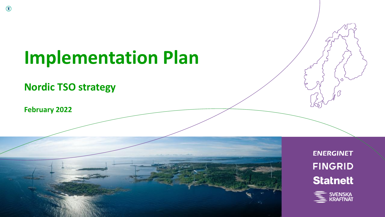# **Implementation Plan**

**Nordic TSO strategy**

**February 2022**



**ENERGINET FINGRID Statnett** 

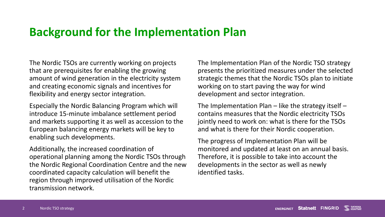#### **Background for the Implementation Plan**

The Nordic TSOs are currently working on projects that are prerequisites for enabling the growing amount of wind generation in the electricity system and creating economic signals and incentives for flexibility and energy sector integration.

Especially the Nordic Balancing Program which will introduce 15-minute imbalance settlement period and markets supporting it as well as accession to the European balancing energy markets will be key to enabling such developments.

Additionally, the increased coordination of operational planning among the Nordic TSOs through the Nordic Regional Coordination Centre and the new coordinated capacity calculation will benefit the region through improved utilisation of the Nordic transmission network.

The Implementation Plan of the Nordic TSO strategy presents the prioritized measures under the selected strategic themes that the Nordic TSOs plan to initiate working on to start paving the way for wind development and sector integration.

The Implementation Plan – like the strategy itself – contains measures that the Nordic electricity TSOs jointly need to work on: what is there for the TSOs and what is there for their Nordic cooperation.

The progress of Implementation Plan will be monitored and updated at least on an annual basis. Therefore, it is possible to take into account the developments in the sector as well as newly identified tasks.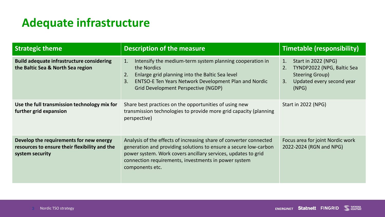## **Adequate infrastructure**

| <b>Strategic theme</b>                                                                                      | <b>Description of the measure</b>                                                                                                                                                                                                                                                  | <b>Timetable (responsibility)</b>                                                                                                   |
|-------------------------------------------------------------------------------------------------------------|------------------------------------------------------------------------------------------------------------------------------------------------------------------------------------------------------------------------------------------------------------------------------------|-------------------------------------------------------------------------------------------------------------------------------------|
| <b>Build adequate infrastructure considering</b><br>the Baltic Sea & North Sea region                       | Intensify the medium-term system planning cooperation in<br>$\mathbf{1}$ .<br>the Nordics<br>Enlarge grid planning into the Baltic Sea level<br>2.<br><b>ENTSO-E Ten Years Network Development Plan and Nordic</b><br>3.<br>Grid Development Perspective (NGDP)                    | Start in 2022 (NPG)<br>1.<br>TYNDP2022 (NPG, Baltic Sea<br>2.<br><b>Steering Group)</b><br>Updated every second year<br>3.<br>(NPG) |
| Use the full transmission technology mix for<br>further grid expansion                                      | Share best practices on the opportunities of using new<br>transmission technologies to provide more grid capacity (planning<br>perspective)                                                                                                                                        | Start in 2022 (NPG)                                                                                                                 |
| Develop the requirements for new energy<br>resources to ensure their flexibility and the<br>system security | Analysis of the effects of increasing share of converter connected<br>generation and providing solutions to ensure a secure low-carbon<br>power system. Work covers ancillary services, updates to grid<br>connection requirements, investments in power system<br>components etc. | Focus area for joint Nordic work<br>2022-2024 (RGN and NPG)                                                                         |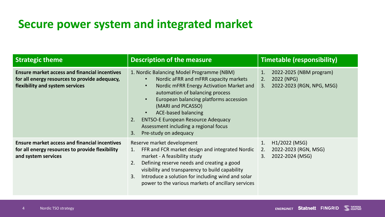### **Secure power system and integrated market**

| <b>Strategic theme</b>                                                                                                                   | <b>Description of the measure</b>                                                                                                                                                                                                                                                                                                                                                                       | <b>Timetable (responsibility)</b>                                                    |
|------------------------------------------------------------------------------------------------------------------------------------------|---------------------------------------------------------------------------------------------------------------------------------------------------------------------------------------------------------------------------------------------------------------------------------------------------------------------------------------------------------------------------------------------------------|--------------------------------------------------------------------------------------|
| <b>Ensure market access and financial incentives</b><br>for all energy resources to provide adequacy,<br>flexibility and system services | 1. Nordic Balancing Model Programme (NBM)<br>Nordic aFRR and mFRR capacity markets<br>Nordic mFRR Energy Activation Market and<br>automation of balancing process<br>European balancing platforms accession<br>$\bullet$<br>(MARI and PICASSO)<br><b>ACE-based balancing</b><br><b>ENTSO-E European Resource Adequacy</b><br>2.<br>Assessment including a regional focus<br>Pre-study on adequacy<br>3. | 2022-2025 (NBM program)<br>1.<br>2022 (NPG)<br>2.<br>2022-2023 (RGN, NPG, MSG)<br>3. |
| <b>Ensure market access and financial incentives</b><br>for all energy resources to provide flexibility<br>and system services           | Reserve market development<br>FFR and FCR market design and integrated Nordic<br>1.<br>market - A feasibility study<br>Defining reserve needs and creating a good<br>2.<br>visibility and transparency to build capability<br>Introduce a solution for including wind and solar<br>3.<br>power to the various markets of ancillary services                                                             | H1/2022 (MSG)<br>1.<br>2022-2023 (RGN, MSG)<br>2.<br>2022-2024 (MSG)<br>3.           |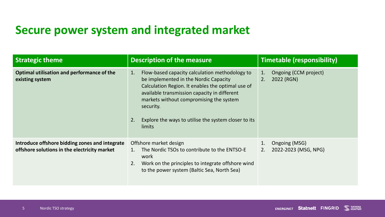### **Secure power system and integrated market**

| <b>Strategic theme</b>                                                                         | <b>Description of the measure</b>                                                                                                                                                                                                                                                                                                  | <b>Timetable (responsibility)</b>               |
|------------------------------------------------------------------------------------------------|------------------------------------------------------------------------------------------------------------------------------------------------------------------------------------------------------------------------------------------------------------------------------------------------------------------------------------|-------------------------------------------------|
| Optimal utilisation and performance of the<br>existing system                                  | Flow-based capacity calculation methodology to<br>1.<br>be implemented in the Nordic Capacity<br>Calculation Region. It enables the optimal use of<br>available transmission capacity in different<br>markets without compromising the system<br>security.<br>Explore the ways to utilise the system closer to its<br>2.<br>limits | Ongoing (CCM project)<br>1.<br>2.<br>2022 (RGN) |
| Introduce offshore bidding zones and integrate<br>offshore solutions in the electricity market | Offshore market design<br>The Nordic TSOs to contribute to the ENTSO-E<br>work<br>Work on the principles to integrate offshore wind<br>2.<br>to the power system (Baltic Sea, North Sea)                                                                                                                                           | Ongoing (MSG)<br>2.<br>2022-2023 (MSG, NPG)     |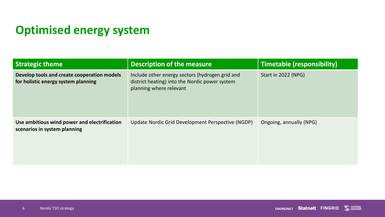# **Optimised energy system**

| <b>Strategic theme</b>                                                             | <b>Description of the measure</b>                                                                                            | <b>Timetable (responsibility)</b> |
|------------------------------------------------------------------------------------|------------------------------------------------------------------------------------------------------------------------------|-----------------------------------|
| Develop tools and create cooperation models<br>for holistic energy system planning | Include other energy sectors (hydrogen grid and<br>district heating) into the Nordic power system<br>planning where relevant | Start in 2022 (NPG)               |
| Use ambitious wind power and electrification<br>scenarios in system planning       | Update Nordic Grid Development Perspective (NGDP)                                                                            | Ongoing, annually (NPG)           |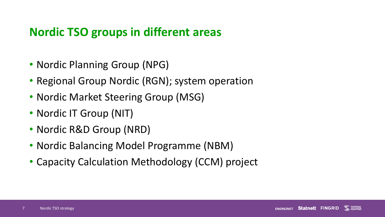#### **Nordic TSO groups in different areas**

- Nordic Planning Group (NPG)
- Regional Group Nordic (RGN); system operation
- Nordic Market Steering Group (MSG)
- Nordic IT Group (NIT)
- Nordic R&D Group (NRD)
- Nordic Balancing Model Programme (NBM)
- Capacity Calculation Methodology (CCM) project